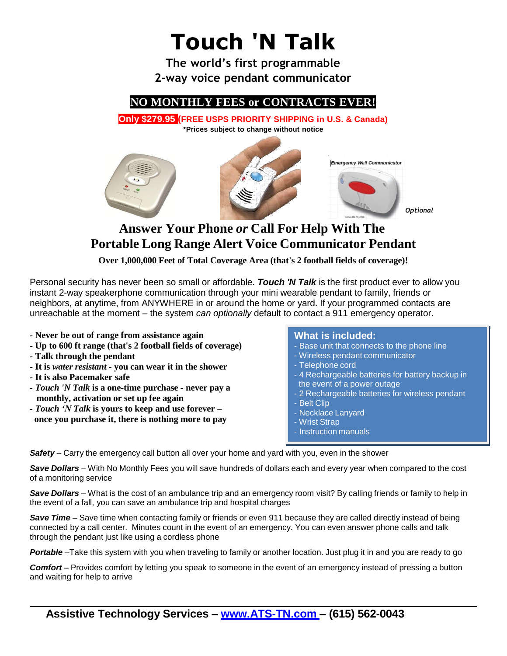

## **Answer Your Phone** *or* **Call For Help With The Portable Long Range Alert Voice Communicator Pendant**

**Over 1,000,000 Feet of Total Coverage Area (that's 2 football fields of coverage)!**

Personal security has never been so small or affordable. *Touch 'N Talk* is the first product ever to allow you instant 2-way speakerphone communication through your mini wearable pendant to family, friends or neighbors, at anytime, from ANYWHERE in or around the home or yard. If your programmed contacts are unreachable at the moment – the system *can optionally* default to contact a 911 emergency operator.

- **- Never be out of range from assistance again**
- **- Up to 600 ft range (that's 2 football fields of coverage)**
- **- Talk through the pendant**
- **- It is** *water resistant* **- you can wear it in the shower**
- **- It is also Pacemaker safe**
- *- Touch 'N Talk* **is a one-time purchase - never pay a monthly, activation or set up fee again**
- *- Touch 'N Talk* **is yours to keep and use forever – once you purchase it, there is nothing more to pay**

## **What is included:**

- Base unit that connects to the phone line
- Wireless pendant communicator
- Telephone cord
- 4 Rechargeable batteries for battery backup in the event of a power outage
- 2 Rechargeable batteries for wireless pendant - Belt Clip
- Necklace Lanyard
- Wrist Strap
- Instruction manuals

*Safety* – Carry the emergency call button all over your home and yard with you, even in the shower

*Save Dollars* – With No Monthly Fees you will save hundreds of dollars each and every year when compared to the cost of a monitoring service

*Save Dollars* – What is the cost of an ambulance trip and an emergency room visit? By calling friends or family to help in the event of a fall, you can save an ambulance trip and hospital charges

*Save Time* – Save time when contacting family or friends or even 911 because they are called directly instead of being connected by a call center. Minutes count in the event of an emergency. You can even answer phone calls and talk through the pendant just like using a cordless phone

*Portable* –Take this system with you when traveling to family or another location. Just plug it in and you are ready to go

*Comfort* – Provides comfort by letting you speak to someone in the event of an emergency instead of pressing a button and waiting for help to arrive